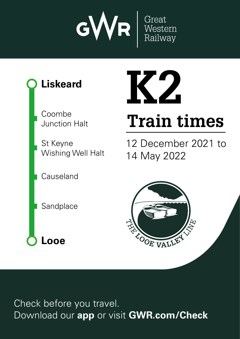





Check before you travel. Download our **app** or visit **GWR.com/Check**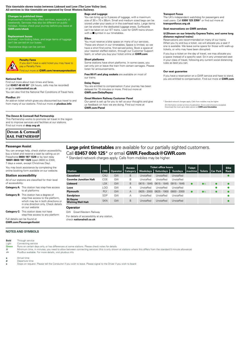### **This timetable shows trains between Liskeard and Looe (The Looe Valley line). All services in this timetable are operated by Great Western Railway.**

#### **Changes to published times**

Improvement works may affect services, especially at<br>weekends. Services may also be different on public holidays check your journey before you leave at **GWR.com/check** 

#### **Replacement buses**

Animals<sup>t</sup>, non-folding bikes, and large items of luggage can't be carried on our buse

h Assistance dogs can be carried.

## **Penalty Fares**

If you don't have a valid ticket you may have to **VA** pay a Penalty Fare. Find out more at **GWR.com/revenueprotection**

#### **National Rail**

Ein and retwork charges apply. Calls from mobiles apply. Calls from mobiles may be higher. The second control of the second control of the second control of the second control of the second control of the second control of **nı**<br>e <mark>ot</mark><br>ed<br>s.i <mark>on</mark><br>ar<br>n b<mark>oli</mark><br>as ay itikets and checket<br>in purchase tips and conditional<br>tickets and conditional conditions and conditions are the conditions are the conditions are the conditions and<br>interactions are the conditions are the condi t<mark>t (</mark><br>me<br>al<br>in <mark>W</mark><br>a<br>a c it it<br>b\*<br>e don't miss offers, and the special deals are all the special departured to the special departured to the special dependence of  $\overline{\phantom{a}}$  and  $\overline{\phantom{a}}$  and  $\overline{\phantom{a}}$  are  $\overline{\phantom{a}}$ Find out more about train times and fares. Call **03457 48 49 50**\* (24 hours, calls may be recorded) or go to **nationalrail.co.uk**

io<br>e. **GWR**You can also find the National Rail Conditions of Travel here.

#### **PlusBus** ¬

of<br><sup>Du:</sup><br>Du: col<br>no<br>**rsl**<br>ail **G**<br>tat<br>**M** An add-on ticket which gives you discounted bus travel to and from many of our stations. Find out more at **plusbus.info**

# **G**<br>**G The Devon & Cornwall Rail Partnership**

This Partnership works to promote rail travel in the region and to improve services and facilities at our stations. Find out more at **dcrp.org.uk**

## **Devon & Cornwall RAIL PARTNERSHIP**

#### **Passenger Assist**

You can arrange help, check station accessibility, buy a ticket and reserve a seat by calling us on Freephone **0800 197 1329** or by text relay **18001 0800 197 1329** (open 0600 to 2300, 7 days a week, except Christmas Day).

You may book assistance by completing the online booking form available on our website.

#### **Station accessibility**

All of our stations are classified for their level of accessibility:

- **Category A:** This station has step-free access to all platforms
- **Category B:** This station has a degree of step-free access to the platform, which may be in both directions or in one direction only. Check details on our website

**Category C:** This station does not have step-free access to any platform

Full details can be found at **GWR.com/PassengerAssist**

#### **NOTES AND SYMBOLS**

**Bold** Through service

Light Connecting service<br> **Green** Buns on certain day **Green** Runs on certain days only, or has differences at some stations. Please check notes for details

ą Minimum time, in minutes, you need to allow between connecting services (this is only shown at stations where this differs from the standard 5 minute allowance)

¬ PlusBus available. For more details, visit plusbus.info

**a** Arrival time<br>**d** Departure t

Departure time **x** Stops on request. Please tell the Conductor if you wish to leave. Please signal to the Driver if you wish to board

## **Bags and Luggage**

You can bring up to 3 pieces of luggage, with a maximum size of 30 x 70 x 90cm. Small and medium sized bags can be stored under your seats or in the overhead racks. Large items can be stored in the dedicated luggage areas. Surfboards can't be taken on our IET trains. Look for GWR trains shown with a  $\blacksquare$  symbol in our timetables.

#### **Bikes**

You must reserve a bike space on many of our services. These are shown in our timetables. Space is limited, so we have a strict first-come, first-served policy. Book a space at<br>your nearest staffed station, through our Customer Support team, or when you buy your ticket online at **GWR.com**

#### **Short platforms**

Some stations have short platforms. In some cases, you can only join or leave the train from certain carriages. Please listen for announcements.

o:<br>ire<br><sub>i</sub>u **Free Wi-Fi and plug sockets** are available on most of our trains.

#### **Delay Repay**

**More**<br>**More**<br>**More**<br>**Bore**<br>**Bore**<br>**Bore** De<br>/ol<br>GN<br>-You are entitled to compensation if your journey has been delayed for 15 minutes or more. Find out more at **GWR.com/DelayRepay**

## **Great Western Railway Customer Panel**

**Transport Focus** 

The UK's independent watchdog for passengers and<br>road users. Call **0300 123 2350**\* or find out more at **transportfocus.org.uk**

#### **Seat reservations on GWR services**

#### $\boxtimes$  **(Shown on our Intercity Express Trains, and some long distance regional trains)**

Reservations are recommended on many of our trains. When you try and buy a ticket, we will allocate you a seat if one is available. We leave some space for those with walk-up tickets, or who may have been disrupted.

If you buy a ticket on the day of travel, we may allocate you a space instead of a specific seat. Sit in any unreserved seat. in your class of travel, following any current social distancing rules as best you can.

#### **Our seat guarantee**

ruli<br> **Du**<br>
If y<br>
you ton<br>13 december 2021<br>12 december 2021 ea<br>1<br>1<br>1<br>1 Download our **app** or visit **GWR.com/Check** If you have a reservation on a GWR service and have to stand, you are entitled to compensation. Find out more at **GWR.com**

# **Large print timetables** are available for our partially sighted customers.

# Call **03457 000 125**\* or email **GWR.Feedback@GWR.com**

|                                             | our trains.                                                                                                                                                                                                              |                   |                |                 |                       |                                                                                                                                                                                                                    | IT YOU HAVE A TESERVATION ON A GIVITY SERVICE AND HAVE TO STATIO,<br>you are entitled to compensation. Find out more at GWR.com |               |                |                 |             |  |  |  |
|---------------------------------------------|--------------------------------------------------------------------------------------------------------------------------------------------------------------------------------------------------------------------------|-------------------|----------------|-----------------|-----------------------|--------------------------------------------------------------------------------------------------------------------------------------------------------------------------------------------------------------------|---------------------------------------------------------------------------------------------------------------------------------|---------------|----------------|-----------------|-------------|--|--|--|
| led)<br>el here.                            | Delay Repay<br>You are entitled to compensation if your journey has been<br>delayed for 15 minutes or more. Find out more at<br><b>GWR.com/DelayRepay</b>                                                                |                   |                |                 |                       |                                                                                                                                                                                                                    |                                                                                                                                 |               |                |                 |             |  |  |  |
| ıvel to and<br>s.info                       | <b>Great Western Railway Customer Panel</b><br>Our panel is set up for you to tell us your thoughts and give<br>us feedback on how we are doing. Find out more at<br><b>GWR.com/Panel</b>                                |                   |                |                 |                       | * Standard network charges apply. Calls from mobiles may be higher<br>All information correct at time of publication. Errors and omissions excepted.<br>Download the most up-to-date version at GWR.com/timetables |                                                                                                                                 |               |                |                 |             |  |  |  |
| region                                      |                                                                                                                                                                                                                          |                   |                |                 |                       |                                                                                                                                                                                                                    |                                                                                                                                 |               |                |                 |             |  |  |  |
|                                             |                                                                                                                                                                                                                          |                   |                |                 |                       |                                                                                                                                                                                                                    |                                                                                                                                 |               |                |                 |             |  |  |  |
|                                             |                                                                                                                                                                                                                          |                   |                |                 |                       |                                                                                                                                                                                                                    |                                                                                                                                 |               |                |                 |             |  |  |  |
|                                             | <b>Large print timetables</b> are available for our partially sighted customers.<br>Call 03457 000 125 <sup>*</sup> or email GWR.Feedback@GWR.com<br>* Standard network charges apply. Calls from mobiles may be higher. |                   |                |                 |                       |                                                                                                                                                                                                                    |                                                                                                                                 |               |                |                 |             |  |  |  |
|                                             |                                                                                                                                                                                                                          |                   |                | <b>Access</b>   |                       | <b>Ticket office hours</b>                                                                                                                                                                                         |                                                                                                                                 | <b>Ticket</b> |                |                 | <b>Bike</b> |  |  |  |
| <b>Station</b><br>Causeland                 |                                                                                                                                                                                                                          | <b>CRS</b><br>CAU | Operator<br>GW | <b>Category</b> | Weekdays<br>Unstaffed | <b>Saturdays</b><br>Unstaffed                                                                                                                                                                                      | <b>Sundays</b><br>Unstaffed                                                                                                     | machine       | <b>Toilets</b> | <b>Car Park</b> | Rack        |  |  |  |
| <b>Coombe Junction Halt</b>                 |                                                                                                                                                                                                                          | COE               | GW             | B<br>B          | Unstaffed             | Unstaffed                                                                                                                                                                                                          | Unstaffed                                                                                                                       |               |                |                 |             |  |  |  |
| <b>Liskeard</b>                             |                                                                                                                                                                                                                          | <b>LSK</b>        | GW             | B               | 0615 - 1845           | $0615 - 1845$                                                                                                                                                                                                      | $0915 - 1645$                                                                                                                   |               | $\bullet$      |                 |             |  |  |  |
| Looe                                        |                                                                                                                                                                                                                          | LOO               | GW             | А               | Unstaffed             | Unstaffed                                                                                                                                                                                                          | Unstaffed                                                                                                                       |               |                |                 |             |  |  |  |
| Plymouth                                    |                                                                                                                                                                                                                          | <b>PLY</b>        | GW             | Α               | 0625 - 2000           | $0625 - 1900$                                                                                                                                                                                                      | $0800 - 2000$                                                                                                                   |               |                |                 |             |  |  |  |
| Sandplace                                   |                                                                                                                                                                                                                          | <b>SDP</b>        | GW             | А               | Unstaffed             | Unstaffed                                                                                                                                                                                                          | Unstaffed                                                                                                                       |               |                |                 |             |  |  |  |
| <b>St Keyne</b><br><b>Wishing Well Halt</b> |                                                                                                                                                                                                                          | <b>SKN</b>        | GW             | B               | Unstaffed             | Unstaffed                                                                                                                                                                                                          | Unstaffed                                                                                                                       |               |                |                 |             |  |  |  |

### **Operator**

GW Great Western Railway For details of accessibility at any station, check **nationalrail.co.uk**